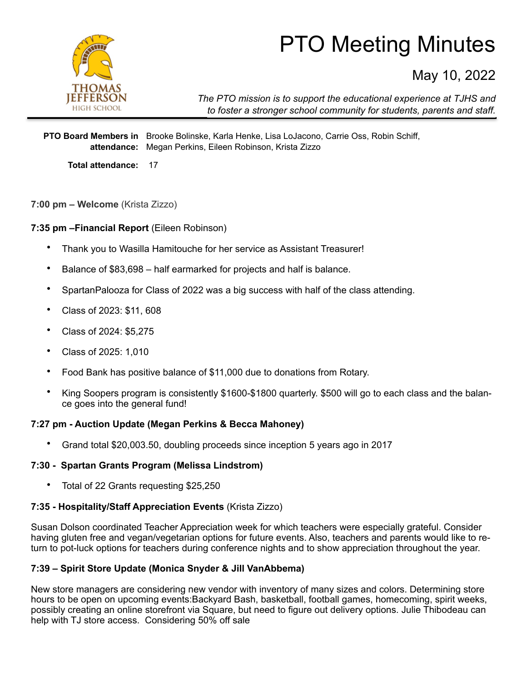

# PTO Meeting Minutes

May 10, 2022

*The PTO mission is to support the educational experience at TJHS and to foster a stronger school community for students, parents and staff.*

**PTO Board Members in**  Brooke Bolinske, Karla Henke, Lisa LoJacono, Carrie Oss, Robin Schiff, **attendance:** Megan Perkins, Eileen Robinson, Krista Zizzo

**Total attendance:** 17

**7:00 pm – Welcome** (Krista Zizzo)

**7:35 pm –Financial Report** (Eileen Robinson)

- Thank you to Wasilla Hamitouche for her service as Assistant Treasurer!
- Balance of \$83,698 half earmarked for projects and half is balance.
- SpartanPalooza for Class of 2022 was a big success with half of the class attending.
- Class of 2023: \$11, 608
- Class of 2024: \$5,275
- Class of 2025: 1,010
- Food Bank has positive balance of \$11,000 due to donations from Rotary.
- King Soopers program is consistently \$1600-\$1800 quarterly. \$500 will go to each class and the balance goes into the general fund!

### **7:27 pm - Auction Update (Megan Perkins & Becca Mahoney)**

• Grand total \$20,003.50, doubling proceeds since inception 5 years ago in 2017

#### **7:30 - Spartan Grants Program (Melissa Lindstrom)**

• Total of 22 Grants requesting \$25,250

# **7:35 - Hospitality/Staff Appreciation Events** (Krista Zizzo)

Susan Dolson coordinated Teacher Appreciation week for which teachers were especially grateful. Consider having gluten free and vegan/vegetarian options for future events. Also, teachers and parents would like to return to pot-luck options for teachers during conference nights and to show appreciation throughout the year.

# **7:39 – Spirit Store Update (Monica Snyder & Jill VanAbbema)**

New store managers are considering new vendor with inventory of many sizes and colors. Determining store hours to be open on upcoming events:Backyard Bash, basketball, football games, homecoming, spirit weeks, possibly creating an online storefront via Square, but need to figure out delivery options. Julie Thibodeau can help with TJ store access. Considering 50% off sale